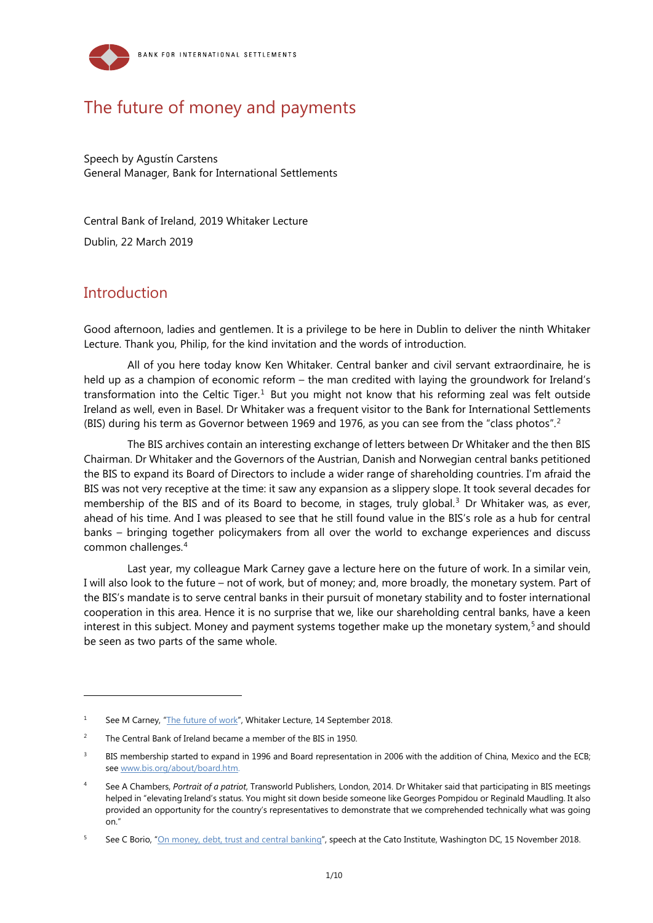

# The future of money and payments

Speech by Agustín Carstens General Manager, Bank for International Settlements

Central Bank of Ireland, 2019 Whitaker Lecture

Dublin, 22 March 2019

## **Introduction**

-

Good afternoon, ladies and gentlemen. It is a privilege to be here in Dublin to deliver the ninth Whitaker Lecture. Thank you, Philip, for the kind invitation and the words of introduction.

All of you here today know Ken Whitaker. Central banker and civil servant extraordinaire, he is held up as a champion of economic reform – the man credited with laying the groundwork for Ireland's transformation into the Celtic Tiger.<sup>[1](#page-0-0)</sup> But you might not know that his reforming zeal was felt outside Ireland as well, even in Basel. Dr Whitaker was a frequent visitor to the Bank for International Settlements (BIS) during his term as Governor between 1969 and 1976, as you can see from the "class photos". [2](#page-0-1)

The BIS archives contain an interesting exchange of letters between Dr Whitaker and the then BIS Chairman. Dr Whitaker and the Governors of the Austrian, Danish and Norwegian central banks petitioned the BIS to expand its Board of Directors to include a wider range of shareholding countries. I'm afraid the BIS was not very receptive at the time: it saw any expansion as a slippery slope. It took several decades for membership of the BIS and of its Board to become, in stages, truly global.<sup>[3](#page-0-2)</sup> Dr Whitaker was, as ever, ahead of his time. And I was pleased to see that he still found value in the BIS's role as a hub for central banks – bringing together policymakers from all over the world to exchange experiences and discuss common challenges.[4](#page-0-3)

Last year, my colleague Mark Carney gave a lecture here on the future of work. In a similar vein, I will also look to the future – not of work, but of money; and, more broadly, the monetary system. Part of the BIS's mandate is to serve central banks in their pursuit of monetary stability and to foster international cooperation in this area. Hence it is no surprise that we, like our shareholding central banks, have a keen interest in this subject. Money and payment systems together make up the monetary system, [5](#page-0-4) and should be seen as two parts of the same whole.

<span id="page-0-0"></span><sup>&</sup>lt;sup>1</sup> See M Carney, ["The future of work"](https://www.bankofengland.co.uk/speech/2018/mark-carney-whitaker-lecture), Whitaker Lecture, 14 September 2018.

<span id="page-0-1"></span><sup>&</sup>lt;sup>2</sup> The Central Bank of Ireland became a member of the BIS in 1950.

<span id="page-0-2"></span>BIS membership started to expand in 1996 and Board representation in 2006 with the addition of China, Mexico and the ECB; see www.bis.org/about/board.htm

<span id="page-0-3"></span><sup>4</sup> See A Chambers, *Portrait of a patriot*, Transworld Publishers, London, 2014. Dr Whitaker said that participating in BIS meetings helped in "elevating Ireland's status. You might sit down beside someone like Georges Pompidou or Reginald Maudling. It also provided an opportunity for the country's representatives to demonstrate that we comprehended technically what was going on."

<span id="page-0-4"></span><sup>5</sup> See C Borio, ["On money, debt, trust and central banking"](https://www.bis.org/speeches/sp181115.pdf), speech at the Cato Institute, Washington DC, 15 November 2018.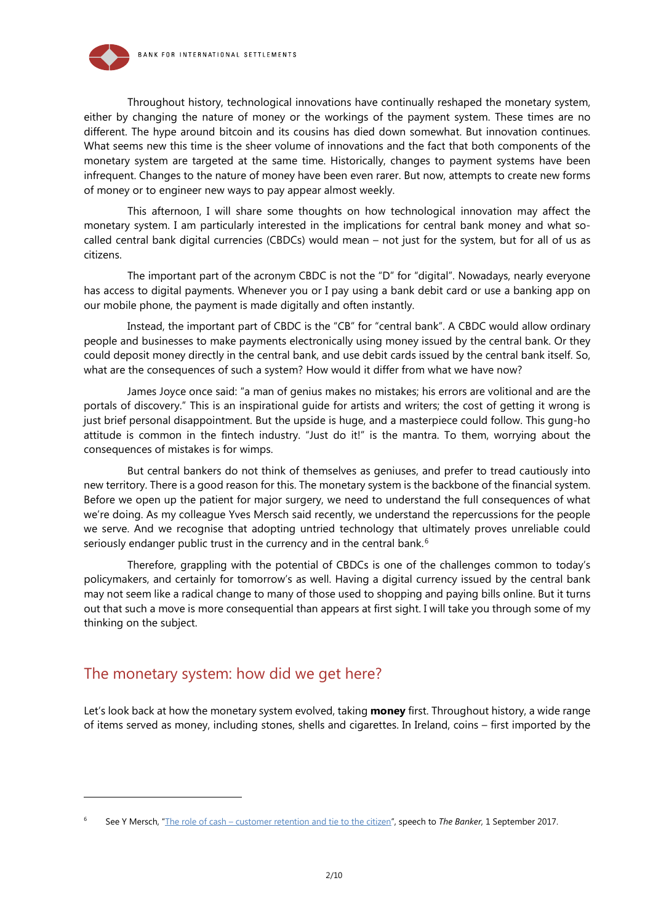

Throughout history, technological innovations have continually reshaped the monetary system, either by changing the nature of money or the workings of the payment system. These times are no different. The hype around bitcoin and its cousins has died down somewhat. But innovation continues. What seems new this time is the sheer volume of innovations and the fact that both components of the monetary system are targeted at the same time. Historically, changes to payment systems have been infrequent. Changes to the nature of money have been even rarer. But now, attempts to create new forms of money or to engineer new ways to pay appear almost weekly.

This afternoon, I will share some thoughts on how technological innovation may affect the monetary system. I am particularly interested in the implications for central bank money and what socalled central bank digital currencies (CBDCs) would mean – not just for the system, but for all of us as citizens.

The important part of the acronym CBDC is not the "D" for "digital". Nowadays, nearly everyone has access to digital payments. Whenever you or I pay using a bank debit card or use a banking app on our mobile phone, the payment is made digitally and often instantly.

Instead, the important part of CBDC is the "CB" for "central bank". A CBDC would allow ordinary people and businesses to make payments electronically using money issued by the central bank. Or they could deposit money directly in the central bank, and use debit cards issued by the central bank itself. So, what are the consequences of such a system? How would it differ from what we have now?

James Joyce once said: "a man of genius makes no mistakes; his errors are volitional and are the portals of discovery." This is an inspirational guide for artists and writers; the cost of getting it wrong is just brief personal disappointment. But the upside is huge, and a masterpiece could follow. This gung-ho attitude is common in the fintech industry. "Just do it!" is the mantra. To them, worrying about the consequences of mistakes is for wimps.

But central bankers do not think of themselves as geniuses, and prefer to tread cautiously into new territory. There is a good reason for this. The monetary system is the backbone of the financial system. Before we open up the patient for major surgery, we need to understand the full consequences of what we're doing. As my colleague Yves Mersch said recently, we understand the repercussions for the people we serve. And we recognise that adopting untried technology that ultimately proves unreliable could seriously endanger public trust in the currency and in the central bank.<sup>[6](#page-1-0)</sup>

Therefore, grappling with the potential of CBDCs is one of the challenges common to today's policymakers, and certainly for tomorrow's as well. Having a digital currency issued by the central bank may not seem like a radical change to many of those used to shopping and paying bills online. But it turns out that such a move is more consequential than appears at first sight. I will take you through some of my thinking on the subject.

### The monetary system: how did we get here?

-

Let's look back at how the monetary system evolved, taking **money** first. Throughout history, a wide range of items served as money, including stones, shells and cigarettes. In Ireland, coins – first imported by the

<span id="page-1-0"></span><sup>6</sup> See Y Mersch, "The role of cash – [customer retention and tie to the citizen"](https://www.bis.org/review/r170904d.pdf), speech to *The Banker*, 1 September 2017.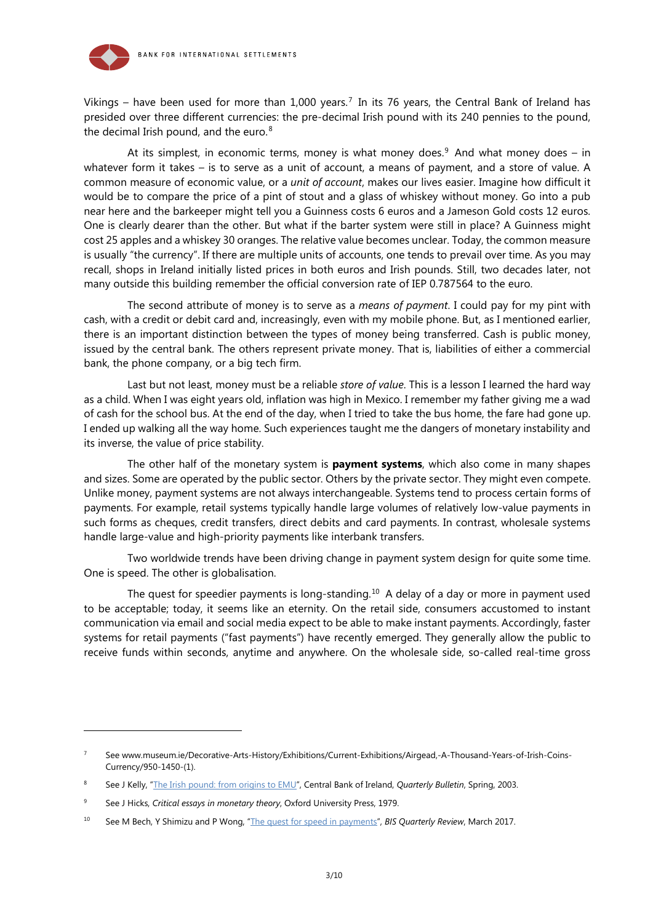

Vikings – have been used for more than 1,000 years.<sup>[7](#page-2-0)</sup> In its 76 years, the Central Bank of Ireland has presided over three different currencies: the pre-decimal Irish pound with its 240 pennies to the pound, the decimal Irish pound, and the euro.<sup>[8](#page-2-1)</sup>

At its simplest, in economic terms, money is what money does.<sup>[9](#page-2-2)</sup> And what money does – in whatever form it takes – is to serve as a unit of account, a means of payment, and a store of value. A common measure of economic value, or a *unit of account*, makes our lives easier. Imagine how difficult it would be to compare the price of a pint of stout and a glass of whiskey without money. Go into a pub near here and the barkeeper might tell you a Guinness costs 6 euros and a Jameson Gold costs 12 euros. One is clearly dearer than the other. But what if the barter system were still in place? A Guinness might cost 25 apples and a whiskey 30 oranges. The relative value becomes unclear. Today, the common measure is usually "the currency". If there are multiple units of accounts, one tends to prevail over time. As you may recall, shops in Ireland initially listed prices in both euros and Irish pounds. Still, two decades later, not many outside this building remember the official conversion rate of IEP 0.787564 to the euro.

The second attribute of money is to serve as a *means of payment*. I could pay for my pint with cash, with a credit or debit card and, increasingly, even with my mobile phone. But, as I mentioned earlier, there is an important distinction between the types of money being transferred. Cash is public money, issued by the central bank. The others represent private money. That is, liabilities of either a commercial bank, the phone company, or a big tech firm.

Last but not least, money must be a reliable *store of value*. This is a lesson I learned the hard way as a child. When I was eight years old, inflation was high in Mexico. I remember my father giving me a wad of cash for the school bus. At the end of the day, when I tried to take the bus home, the fare had gone up. I ended up walking all the way home. Such experiences taught me the dangers of monetary instability and its inverse, the value of price stability.

The other half of the monetary system is **payment systems**, which also come in many shapes and sizes. Some are operated by the public sector. Others by the private sector. They might even compete. Unlike money, payment systems are not always interchangeable. Systems tend to process certain forms of payments. For example, retail systems typically handle large volumes of relatively low-value payments in such forms as cheques, credit transfers, direct debits and card payments. In contrast, wholesale systems handle large-value and high-priority payments like interbank transfers.

Two worldwide trends have been driving change in payment system design for quite some time. One is speed. The other is globalisation.

The quest for speedier payments is long-standing.<sup>[10](#page-2-3)</sup> A delay of a day or more in payment used to be acceptable; today, it seems like an eternity. On the retail side, consumers accustomed to instant communication via email and social media expect to be able to make instant payments. Accordingly, faster systems for retail payments ("fast payments") have recently emerged. They generally allow the public to receive funds within seconds, anytime and anywhere. On the wholesale side, so-called real-time gross

-

<span id="page-2-0"></span><sup>7</sup> See www.museum.ie/Decorative-Arts-History/Exhibitions/Current-Exhibitions/Airgead,-A-Thousand-Years-of-Irish-Coins-Currency/950-1450-(1).

<span id="page-2-1"></span><sup>8</sup> See J Kelly, ["The Irish pound: from origins to EMU"](https://www.centralbank.ie/docs/default-source/consumer-hub-library/the-irish-pound-from-origins-to-emu.pdf?sfvrsn=2), Central Bank of Ireland, *Quarterly Bulletin*, Spring, 2003.

<span id="page-2-2"></span><sup>9</sup> See J Hicks, *Critical essays in monetary theory*, Oxford University Press, 1979.

<span id="page-2-3"></span><sup>10</sup> See M Bech, Y Shimizu and P Wong, ["The quest for speed in payments"](https://www.bis.org/publ/qtrpdf/r_qt1703g.pdf), *BIS Quarterly Review*, March 2017.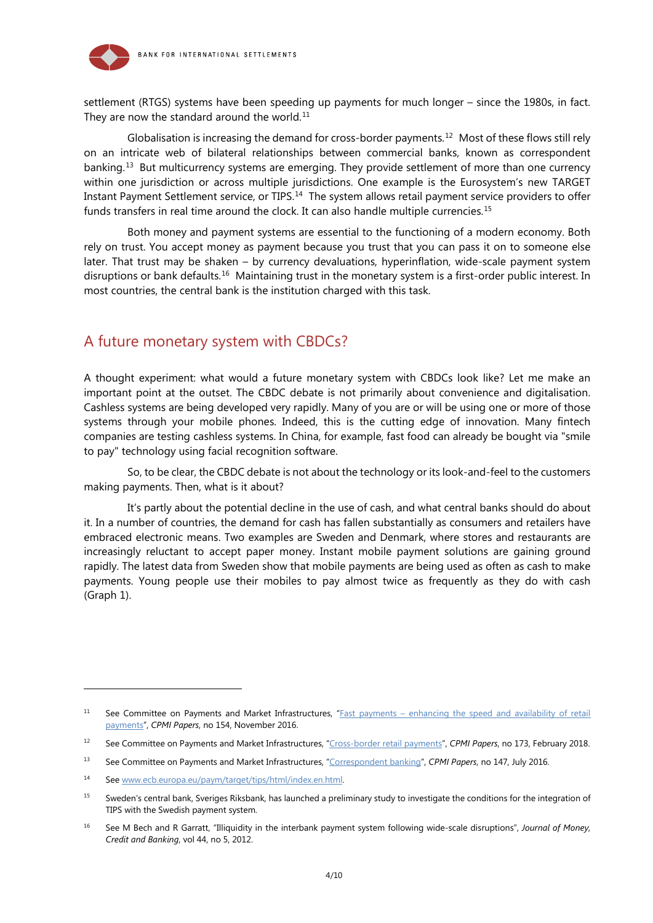<span id="page-3-2"></span>

settlement (RTGS) systems have been speeding up payments for much longer – since the 1980s, in fact. They are now the standard around the world.<sup>[11](#page-3-0)</sup>

Globalisation is increasing the demand for cross-border payments.<sup>[12](#page-3-1)</sup> Most of these flows still rely on an intricate web of bilateral relationships between commercial banks, known as correspondent banking. [13](#page-3-2) But multicurrency systems are emerging. They provide settlement of more than one currency within one jurisdiction or across multiple jurisdictions. One example is the Eurosystem's new TARGET Instant Payment Settlement service, or TIPS.<sup>[14](#page-3-2)</sup> The system allows retail payment service providers to offer funds transfers in real time around the clock. It can also handle multiple currencies.<sup>[15](#page-3-2)</sup>

Both money and payment systems are essential to the functioning of a modern economy. Both rely on trust. You accept money as payment because you trust that you can pass it on to someone else later. That trust may be shaken – by currency devaluations, hyperinflation, wide-scale payment system disruptions or bank defaults.<sup>[16](#page-3-3)</sup> Maintaining trust in the monetary system is a first-order public interest. In most countries, the central bank is the institution charged with this task.

### A future monetary system with CBDCs?

A thought experiment: what would a future monetary system with CBDCs look like? Let me make an important point at the outset. The CBDC debate is not primarily about convenience and digitalisation. Cashless systems are being developed very rapidly. Many of you are or will be using one or more of those systems through your mobile phones. Indeed, this is the cutting edge of innovation. Many fintech companies are testing cashless systems. In China, for example, fast food can already be bought via "smile to pay" technology using facial recognition software.

So, to be clear, the CBDC debate is not about the technology or its look-and-feel to the customers making payments. Then, what is it about?

It's partly about the potential decline in the use of cash, and what central banks should do about it. In a number of countries, the demand for cash has fallen substantially as consumers and retailers have embraced electronic means. Two examples are Sweden and Denmark, where stores and restaurants are increasingly reluctant to accept paper money. Instant mobile payment solutions are gaining ground rapidly. The latest data from Sweden show that mobile payments are being used as often as cash to make payments. Young people use their mobiles to pay almost twice as frequently as they do with cash (Graph 1).

-

<span id="page-3-0"></span><sup>&</sup>lt;sup>11</sup> See Committee on Payments and Market Infrastructures, "**Fast payments – enhancing the speed and availability of retail** [payments"](https://www.bis.org/cpmi/publ/d154.htm), *CPMI Papers*, no 154, November 2016.

<span id="page-3-1"></span><sup>12</sup> See Committee on Payments and Market Infrastructures, ["Cross-border retail payments"](https://www.bis.org/cpmi/publ/d173.htm), *CPMI Papers*, no 173, February 2018.

<sup>13</sup> See Committee on Payments and Market Infrastructures, ["Correspondent banking"](https://www.bis.org/cpmi/publ/d147.htm), *CPMI Papers*, no 147, July 2016.

<sup>14</sup> Se[e www.ecb.europa.eu/paym/target/tips/html/index.en.html.](http://www.ecb.europa.eu/paym/target/tips/html/index.en.html)

<sup>&</sup>lt;sup>15</sup> Sweden's central bank, Sveriges Riksbank, has launched a preliminary study to investigate the conditions for the integration of TIPS with the Swedish payment system.

<span id="page-3-3"></span><sup>16</sup> See M Bech and R Garratt, "Illiquidity in the interbank payment system following wide-scale disruptions", *Journal of Money, Credit and Banking*, vol 44, no 5, 2012.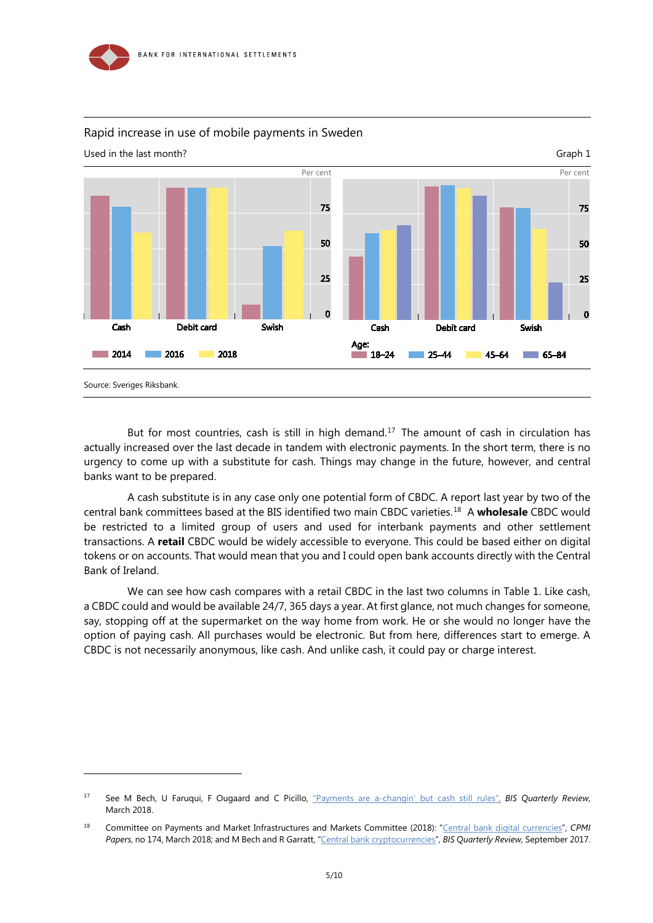

-



#### Rapid increase in use of mobile payments in Sweden

But for most countries, cash is still in high demand.<sup>17</sup> The amount of cash in circulation has actually increased over the last decade in tandem with electronic payments. In the short term, there is no urgency to come up with a substitute for cash. Things may change in the future, however, and central banks want to be prepared.

A cash substitute is in any case only one potential form of CBDC. A report last year by two of the central bank committees based at the BIS identified two main CBDC varieties.[18](#page-4-1) A **wholesale** CBDC would be restricted to a limited group of users and used for interbank payments and other settlement transactions. A **retail** CBDC would be widely accessible to everyone. This could be based either on digital tokens or on accounts. That would mean that you and I could open bank accounts directly with the Central Bank of Ireland.

We can see how cash compares with a retail CBDC in the last two columns in Table 1. Like cash, a CBDC could and would be available 24/7, 365 days a year. At first glance, not much changes for someone, say, stopping off at the supermarket on the way home from work. He or she would no longer have the option of paying cash. All purchases would be electronic. But from here, differences start to emerge. A CBDC is not necessarily anonymous, like cash. And unlike cash, it could pay or charge interest.

<span id="page-4-0"></span><sup>17</sup> See M Bech, U Faruqui, F Ougaard and C Picillo, ["Payments are a-changin' but cash still rules"](https://www.bis.org/publ/qtrpdf/r_qt1803g.htm), *BIS Quarterly Review*, March 2018.

<span id="page-4-1"></span><sup>18</sup> Committee on Payments and Market Infrastructures and Markets Committee (2018): ["Central bank digital currencies"](https://www.bis.org/cpmi/publ/d174.htm), *CPMI Papers*, no 174, March 2018; and M Bech and R Garratt, ["Central bank cryptocurrencies"](https://www.bis.org/publ/qtrpdf/r_qt1709f.pdf), *BIS Quarterly Review,* September 2017.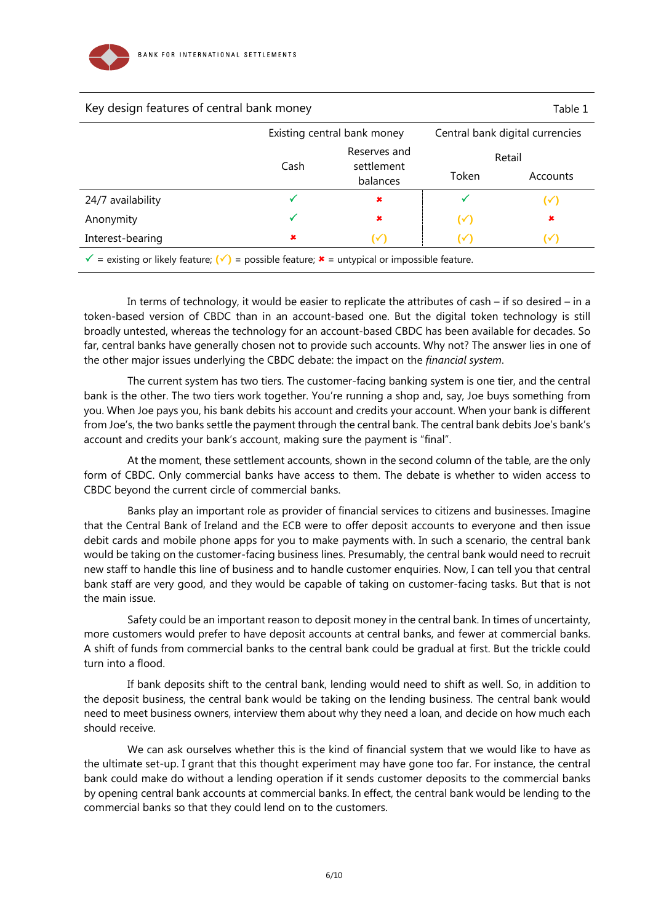

| Reserves and<br>Retail<br>settlement<br>Token<br>Accounts<br>balances                                                          |
|--------------------------------------------------------------------------------------------------------------------------------|
|                                                                                                                                |
|                                                                                                                                |
| $(\checkmark)$                                                                                                                 |
| $\pmb{\times}$<br>$(\checkmark)$                                                                                               |
| $(\sqrt{2})$<br>$(\checkmark)$                                                                                                 |
| = existing or likely feature; $(\check{\mathbf{y}})$ = possible feature; $\hat{\mathbf{x}}$ = untypical or impossible feature. |

In terms of technology, it would be easier to replicate the attributes of cash – if so desired – in a token-based version of CBDC than in an account-based one. But the digital token technology is still broadly untested, whereas the technology for an account-based CBDC has been available for decades. So far, central banks have generally chosen not to provide such accounts. Why not? The answer lies in one of the other major issues underlying the CBDC debate: the impact on the *financial system*.

The current system has two tiers. The customer-facing banking system is one tier, and the central bank is the other. The two tiers work together. You're running a shop and, say, Joe buys something from you. When Joe pays you, his bank debits his account and credits your account. When your bank is different from Joe's, the two banks settle the payment through the central bank. The central bank debits Joe's bank's account and credits your bank's account, making sure the payment is "final".

At the moment, these settlement accounts, shown in the second column of the table, are the only form of CBDC. Only commercial banks have access to them. The debate is whether to widen access to CBDC beyond the current circle of commercial banks.

Banks play an important role as provider of financial services to citizens and businesses. Imagine that the Central Bank of Ireland and the ECB were to offer deposit accounts to everyone and then issue debit cards and mobile phone apps for you to make payments with. In such a scenario, the central bank would be taking on the customer-facing business lines. Presumably, the central bank would need to recruit new staff to handle this line of business and to handle customer enquiries. Now, I can tell you that central bank staff are very good, and they would be capable of taking on customer-facing tasks. But that is not the main issue.

Safety could be an important reason to deposit money in the central bank. In times of uncertainty, more customers would prefer to have deposit accounts at central banks, and fewer at commercial banks. A shift of funds from commercial banks to the central bank could be gradual at first. But the trickle could turn into a flood.

If bank deposits shift to the central bank, lending would need to shift as well. So, in addition to the deposit business, the central bank would be taking on the lending business. The central bank would need to meet business owners, interview them about why they need a loan, and decide on how much each should receive.

We can ask ourselves whether this is the kind of financial system that we would like to have as the ultimate set-up. I grant that this thought experiment may have gone too far. For instance, the central bank could make do without a lending operation if it sends customer deposits to the commercial banks by opening central bank accounts at commercial banks. In effect, the central bank would be lending to the commercial banks so that they could lend on to the customers.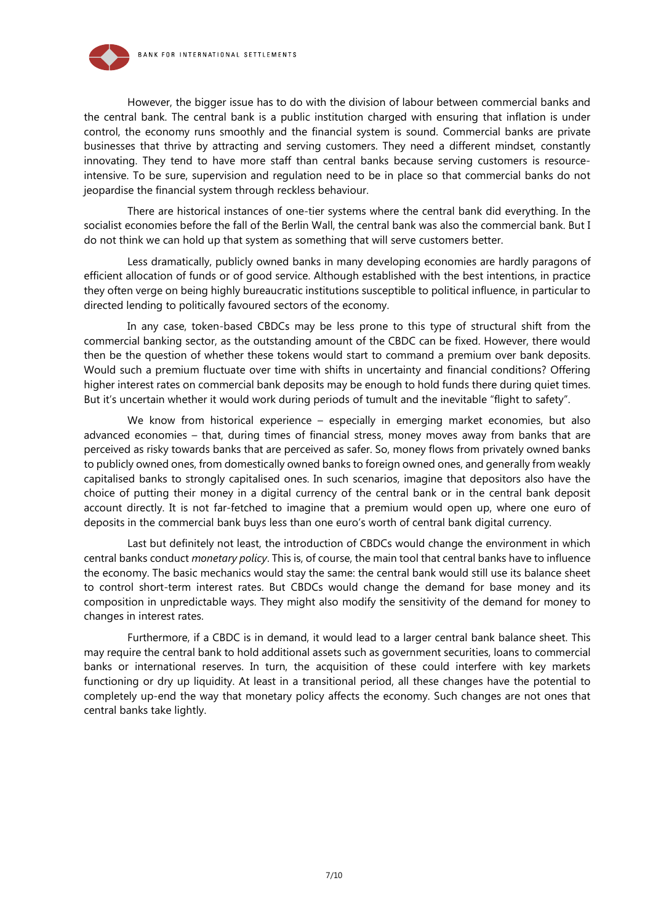

However, the bigger issue has to do with the division of labour between commercial banks and the central bank. The central bank is a public institution charged with ensuring that inflation is under control, the economy runs smoothly and the financial system is sound. Commercial banks are private businesses that thrive by attracting and serving customers. They need a different mindset, constantly innovating. They tend to have more staff than central banks because serving customers is resourceintensive. To be sure, supervision and regulation need to be in place so that commercial banks do not jeopardise the financial system through reckless behaviour.

There are historical instances of one-tier systems where the central bank did everything. In the socialist economies before the fall of the Berlin Wall, the central bank was also the commercial bank. But I do not think we can hold up that system as something that will serve customers better.

Less dramatically, publicly owned banks in many developing economies are hardly paragons of efficient allocation of funds or of good service. Although established with the best intentions, in practice they often verge on being highly bureaucratic institutions susceptible to political influence, in particular to directed lending to politically favoured sectors of the economy.

In any case, token-based CBDCs may be less prone to this type of structural shift from the commercial banking sector, as the outstanding amount of the CBDC can be fixed. However, there would then be the question of whether these tokens would start to command a premium over bank deposits. Would such a premium fluctuate over time with shifts in uncertainty and financial conditions? Offering higher interest rates on commercial bank deposits may be enough to hold funds there during quiet times. But it's uncertain whether it would work during periods of tumult and the inevitable "flight to safety".

We know from historical experience – especially in emerging market economies, but also advanced economies – that, during times of financial stress, money moves away from banks that are perceived as risky towards banks that are perceived as safer. So, money flows from privately owned banks to publicly owned ones, from domestically owned banks to foreign owned ones, and generally from weakly capitalised banks to strongly capitalised ones. In such scenarios, imagine that depositors also have the choice of putting their money in a digital currency of the central bank or in the central bank deposit account directly. It is not far-fetched to imagine that a premium would open up, where one euro of deposits in the commercial bank buys less than one euro's worth of central bank digital currency.

Last but definitely not least, the introduction of CBDCs would change the environment in which central banks conduct *monetary policy*. This is, of course, the main tool that central banks have to influence the economy. The basic mechanics would stay the same: the central bank would still use its balance sheet to control short-term interest rates. But CBDCs would change the demand for base money and its composition in unpredictable ways. They might also modify the sensitivity of the demand for money to changes in interest rates.

Furthermore, if a CBDC is in demand, it would lead to a larger central bank balance sheet. This may require the central bank to hold additional assets such as government securities, loans to commercial banks or international reserves. In turn, the acquisition of these could interfere with key markets functioning or dry up liquidity. At least in a transitional period, all these changes have the potential to completely up-end the way that monetary policy affects the economy. Such changes are not ones that central banks take lightly.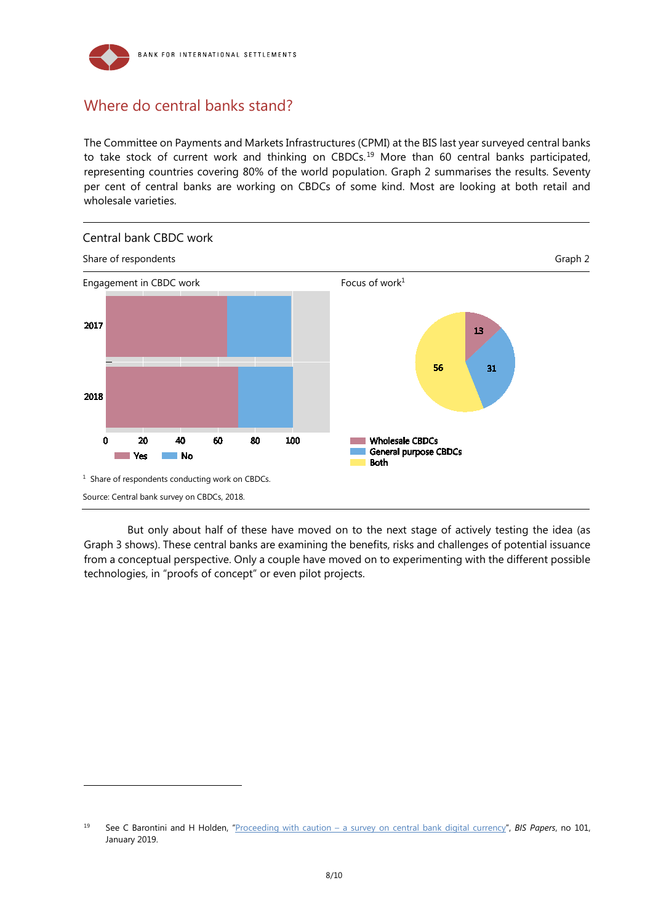

## Where do central banks stand?

-

The Committee on Payments and Markets Infrastructures (CPMI) at the BIS last year surveyed central banks to take stock of current work and thinking on CBDCs.<sup>[19](#page-7-0)</sup> More than 60 central banks participated, representing countries covering 80% of the world population. Graph 2 summarises the results. Seventy per cent of central banks are working on CBDCs of some kind. Most are looking at both retail and wholesale varieties.



But only about half of these have moved on to the next stage of actively testing the idea (as Graph 3 shows). These central banks are examining the benefits, risks and challenges of potential issuance from a conceptual perspective. Only a couple have moved on to experimenting with the different possible technologies, in "proofs of concept" or even pilot projects.

<span id="page-7-0"></span><sup>19</sup> See C Barontini and H Holden, "Proceeding with caution – [a survey on central bank digital currency"](https://www.bis.org/publ/bppdf/bispap101.htm), *BIS Papers*, no 101, January 2019.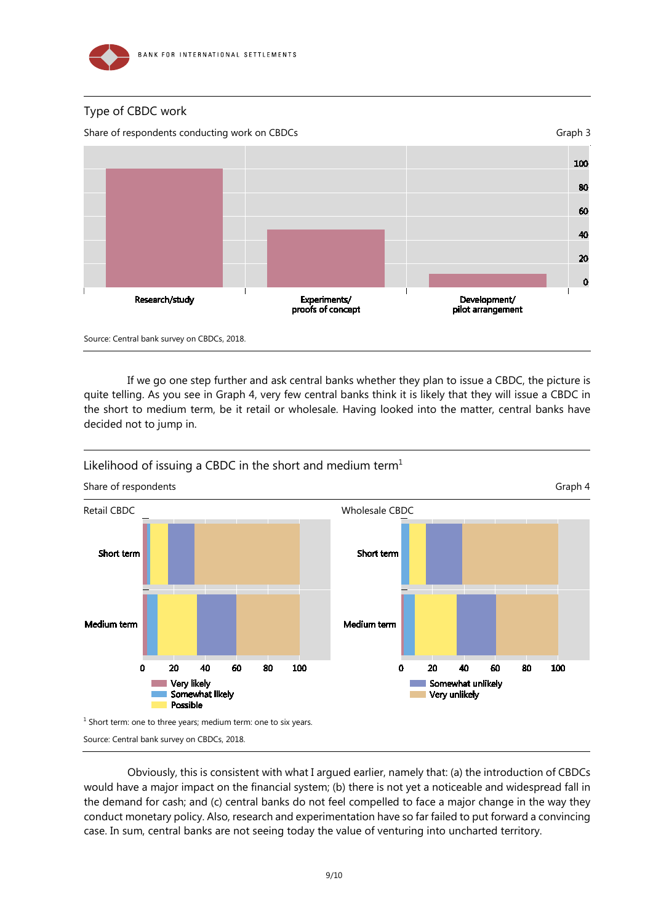

### Type of CBDC work





Source: Central bank survey on CBDCs, 2018.

If we go one step further and ask central banks whether they plan to issue a CBDC, the picture is quite telling. As you see in Graph 4, very few central banks think it is likely that they will issue a CBDC in the short to medium term, be it retail or wholesale. Having looked into the matter, central banks have decided not to jump in.





Obviously, this is consistent with what I argued earlier, namely that: (a) the introduction of CBDCs would have a major impact on the financial system; (b) there is not yet a noticeable and widespread fall in the demand for cash; and (c) central banks do not feel compelled to face a major change in the way they conduct monetary policy. Also, research and experimentation have so far failed to put forward a convincing case. In sum, central banks are not seeing today the value of venturing into uncharted territory.